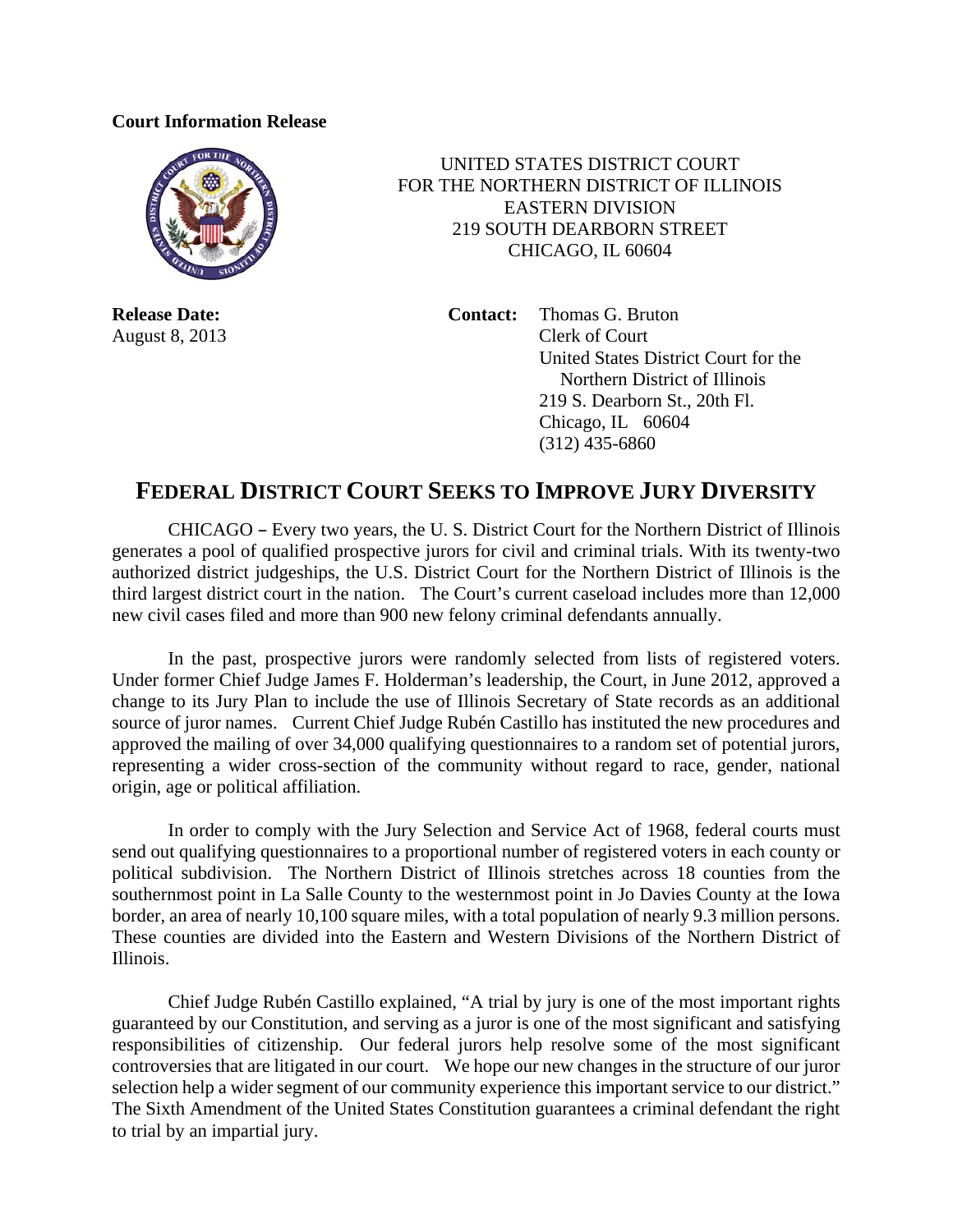## **Court Information Release**



 UNITED STATES DISTRICT COURT FOR THE NORTHERN DISTRICT OF ILLINOIS EASTERN DIVISION 219 SOUTH DEARBORN STREET CHICAGO, IL 60604

**Release Date: Contact:** Thomas G. Bruton August 8, 2013 Clerk of Court United States District Court for the Northern District of Illinois 219 S. Dearborn St., 20th Fl. Chicago, IL 60604 (312) 435-6860

## **FEDERAL DISTRICT COURT SEEKS TO IMPROVE JURY DIVERSITY**

CHICAGO – Every two years, the U. S. District Court for the Northern District of Illinois generates a pool of qualified prospective jurors for civil and criminal trials. With its twenty-two authorized district judgeships, the U.S. District Court for the Northern District of Illinois is the third largest district court in the nation. The Court's current caseload includes more than 12,000 new civil cases filed and more than 900 new felony criminal defendants annually.

 In the past, prospective jurors were randomly selected from lists of registered voters. Under former Chief Judge James F. Holderman's leadership, the Court, in June 2012, approved a change to its Jury Plan to include the use of Illinois Secretary of State records as an additional source of juror names. Current Chief Judge Rubén Castillo has instituted the new procedures and approved the mailing of over 34,000 qualifying questionnaires to a random set of potential jurors, representing a wider cross-section of the community without regard to race, gender, national origin, age or political affiliation.

 In order to comply with the Jury Selection and Service Act of 1968, federal courts must send out qualifying questionnaires to a proportional number of registered voters in each county or political subdivision. The Northern District of Illinois stretches across 18 counties from the southernmost point in La Salle County to the westernmost point in Jo Davies County at the Iowa border, an area of nearly 10,100 square miles, with a total population of nearly 9.3 million persons. These counties are divided into the Eastern and Western Divisions of the Northern District of Illinois.

 Chief Judge Rubén Castillo explained, "A trial by jury is one of the most important rights guaranteed by our Constitution, and serving as a juror is one of the most significant and satisfying responsibilities of citizenship. Our federal jurors help resolve some of the most significant controversies that are litigated in our court. We hope our new changes in the structure of our juror selection help a wider segment of our community experience this important service to our district." The Sixth Amendment of the United States Constitution guarantees a criminal defendant the right to trial by an impartial jury.